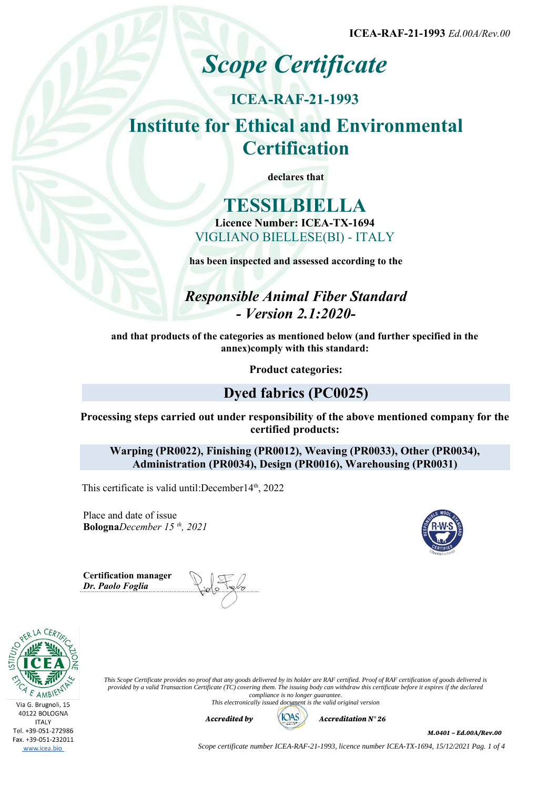**ICEA-RAF-21-1993** *Ed.00A/Rev.00*

# *Scope Certificate*

## **ICEA-RAF-21-1993 Institute for Ethical and Environmental Certification**

**declares that**

## **TESSILBIELLA Licence Number: ICEA-TX-1694** VIGLIANO BIELLESE(BI) - ITALY

**has been inspected and assessed according to the**

## *Responsible Animal Fiber Standard - Version 2.1:2020-*

**and that products of the categories as mentioned below (and further specified in the annex)comply with this standard:**

**Product categories:**

## **Dyed fabrics (PC0025)**

**Processing steps carried out under responsibility of the above mentioned company for the certified products:**

**Warping (PR0022), Finishing (PR0012), Weaving (PR0033), Other (PR0034), Administration (PR0034), Design (PR0016), Warehousing (PR0031)**

This certificate is valid until:December14<sup>th</sup>, 2022

Place and date of issue **Bologna***December 15 th, 2021*

**Certification manager** *Dr. Paolo Foglia*



*This Scope Certificate provides no proof that any goods delivered by its holder are RAF certified. Proof of RAF certification of goods delivered is provided by a valid Transaction Certificate (TC) covering them. The issuing body can withdraw this certificate before it expires if the declared compliance is no longer guarantee. This electronically issued document is the valid original version*



*M.0401 – Ed.00A/Rev.00*

*Scope certificate number ICEA-RAF-21-1993, licence number ICEA-TX-1694, 15/12/2021 Pag. 1 of 4*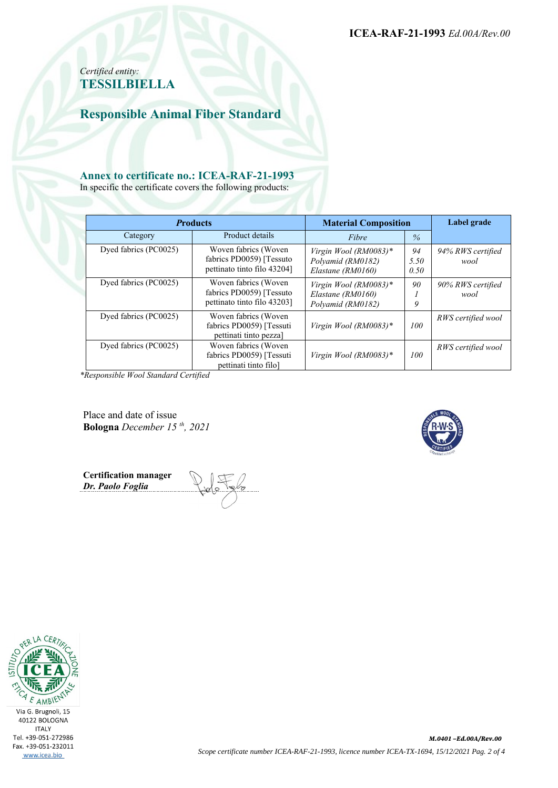**ICEA-RAF-21-1993** *Ed.00A/Rev.00*

## *Certified entity:* **TESSILBIELLA**

**Responsible Animal Fiber Standard**

#### **Annex to certificate no.: ICEA-RAF-21-1993**

In specific the certificate covers the following products:

| <b>Products</b>       |                                                                                  | <b>Material Composition</b>                                     |                    | Label grade               |  |
|-----------------------|----------------------------------------------------------------------------------|-----------------------------------------------------------------|--------------------|---------------------------|--|
| Category              | Product details                                                                  | Fibre                                                           | $\frac{0}{6}$      |                           |  |
| Dyed fabrics (PC0025) | Woven fabrics (Woven<br>fabrics PD0059) [Tessuto<br>pettinato tinto filo 43204]  | Virgin Wool (RM0083)*<br>Polyamid (RM0182)<br>Elastane (RM0160) | 94<br>5.50<br>0.50 | 94% RWS certified<br>wool |  |
| Dyed fabrics (PC0025) | Woven fabrics (Woven<br>fabrics PD0059) [Tessuto]<br>pettinato tinto filo 432031 | Virgin Wool (RM0083)*<br>Elastane (RM0160)<br>Polyamid (RM0182) | 90<br>9            | 90% RWS certified<br>wool |  |
| Dyed fabrics (PC0025) | Woven fabrics (Woven<br>fabrics PD0059) [Tessuti<br>pettinati tinto pezza]       | Virgin Wool (RM0083)*                                           | 100                | RWS certified wool        |  |
| Dyed fabrics (PC0025) | Woven fabrics (Woven<br>fabrics PD0059) [Tessuti<br>pettinati tinto filo]        | Virgin Wool (RM0083)*                                           | 100                | RWS certified wool        |  |

*\*Responsible Wool Standard Certified*

Place and date of issue **Bologna** *December 15 th, 2021*

**Certification manager** *Dr. Paolo Foglia*

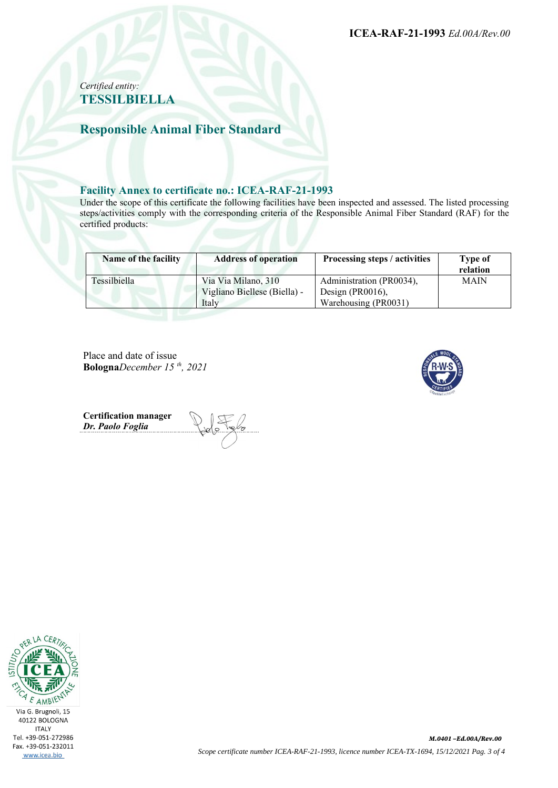**ICEA-RAF-21-1993** *Ed.00A/Rev.00*

#### *Certified entity:* **TESSILBIELLA**

## **Responsible Animal Fiber Standard**

#### **Facility Annex to certificate no.: ICEA-RAF-21-1993**

Under the scope of this certificate the following facilities have been inspected and assessed. The listed processing steps/activities comply with the corresponding criteria of the Responsible Animal Fiber Standard (RAF) for the certified products:

| Name of the facility | <b>Address of operation</b>  | Processing steps / activities | Type of<br>relation |
|----------------------|------------------------------|-------------------------------|---------------------|
| Tessilbiella         | Via Via Milano, 310          | Administration (PR0034),      | <b>MAIN</b>         |
|                      | Vigliano Biellese (Biella) - | Design (PR0016),              |                     |
|                      | Italy                        | Warehousing (PR0031)          |                     |

Place and date of issue **Bologna***December 15 th, 2021*



**Certification manager** *Dr. Paolo Foglia*